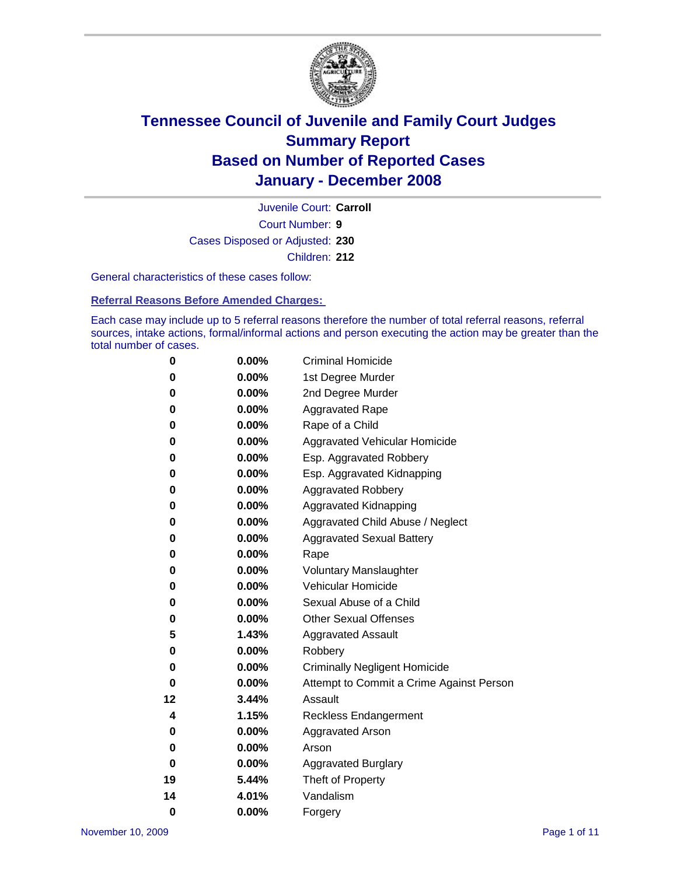

Court Number: **9** Juvenile Court: **Carroll** Cases Disposed or Adjusted: **230** Children: **212**

General characteristics of these cases follow:

**Referral Reasons Before Amended Charges:** 

Each case may include up to 5 referral reasons therefore the number of total referral reasons, referral sources, intake actions, formal/informal actions and person executing the action may be greater than the total number of cases.

| 0        | 0.00%    | <b>Criminal Homicide</b>                 |  |  |  |
|----------|----------|------------------------------------------|--|--|--|
| 0        | 0.00%    | 1st Degree Murder                        |  |  |  |
| 0        | $0.00\%$ | 2nd Degree Murder                        |  |  |  |
| 0        | 0.00%    | <b>Aggravated Rape</b>                   |  |  |  |
| 0        | 0.00%    | Rape of a Child                          |  |  |  |
| 0        | 0.00%    | Aggravated Vehicular Homicide            |  |  |  |
| 0        | 0.00%    | Esp. Aggravated Robbery                  |  |  |  |
| 0        | 0.00%    | Esp. Aggravated Kidnapping               |  |  |  |
| 0        | 0.00%    | <b>Aggravated Robbery</b>                |  |  |  |
| 0        | $0.00\%$ | Aggravated Kidnapping                    |  |  |  |
| 0        | 0.00%    | Aggravated Child Abuse / Neglect         |  |  |  |
| 0        | $0.00\%$ | <b>Aggravated Sexual Battery</b>         |  |  |  |
| 0        | 0.00%    | Rape                                     |  |  |  |
| 0        | 0.00%    | <b>Voluntary Manslaughter</b>            |  |  |  |
| 0        | 0.00%    | Vehicular Homicide                       |  |  |  |
| 0        | 0.00%    | Sexual Abuse of a Child                  |  |  |  |
| 0        | 0.00%    | <b>Other Sexual Offenses</b>             |  |  |  |
| 5        | 1.43%    | <b>Aggravated Assault</b>                |  |  |  |
| 0        | $0.00\%$ | Robbery                                  |  |  |  |
| 0        | 0.00%    | <b>Criminally Negligent Homicide</b>     |  |  |  |
| 0        | 0.00%    | Attempt to Commit a Crime Against Person |  |  |  |
| 12       | 3.44%    | Assault                                  |  |  |  |
| 4        | 1.15%    | <b>Reckless Endangerment</b>             |  |  |  |
| 0        | 0.00%    | <b>Aggravated Arson</b>                  |  |  |  |
| 0        | 0.00%    | Arson                                    |  |  |  |
| 0        | $0.00\%$ | <b>Aggravated Burglary</b>               |  |  |  |
| 19       | 5.44%    | Theft of Property                        |  |  |  |
| 14       | 4.01%    | Vandalism                                |  |  |  |
| $\bf{0}$ | 0.00%    | Forgery                                  |  |  |  |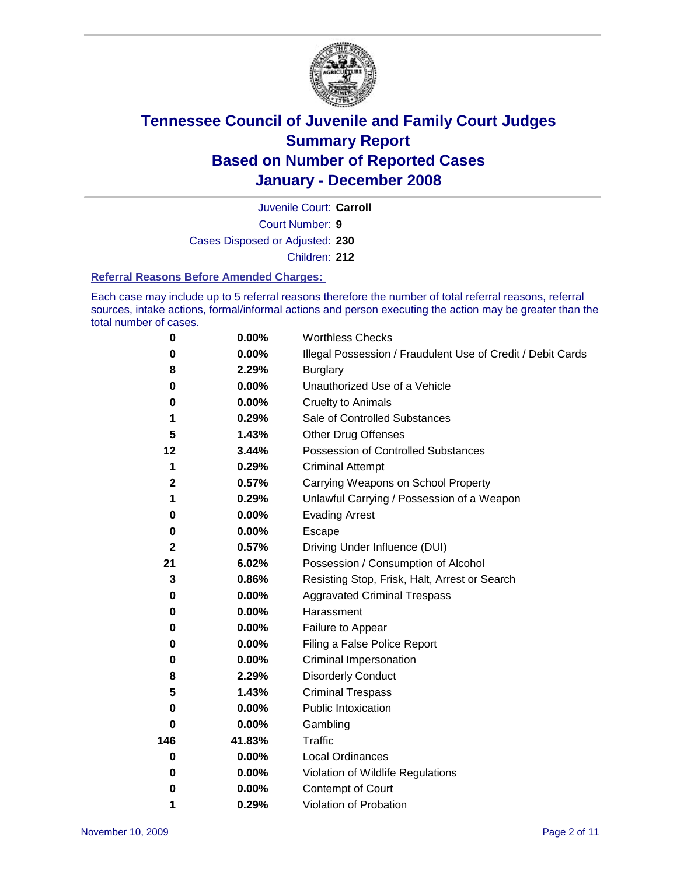

Court Number: **9** Juvenile Court: **Carroll** Cases Disposed or Adjusted: **230** Children: **212**

#### **Referral Reasons Before Amended Charges:**

Each case may include up to 5 referral reasons therefore the number of total referral reasons, referral sources, intake actions, formal/informal actions and person executing the action may be greater than the total number of cases.

| 0           | 0.00%    | <b>Worthless Checks</b>                                     |
|-------------|----------|-------------------------------------------------------------|
| 0           | 0.00%    | Illegal Possession / Fraudulent Use of Credit / Debit Cards |
| 8           | 2.29%    | <b>Burglary</b>                                             |
| 0           | $0.00\%$ | Unauthorized Use of a Vehicle                               |
| 0           | 0.00%    | <b>Cruelty to Animals</b>                                   |
| 1           | 0.29%    | Sale of Controlled Substances                               |
| 5           | 1.43%    | <b>Other Drug Offenses</b>                                  |
| 12          | 3.44%    | <b>Possession of Controlled Substances</b>                  |
| 1           | 0.29%    | <b>Criminal Attempt</b>                                     |
| $\mathbf 2$ | 0.57%    | Carrying Weapons on School Property                         |
| 1           | 0.29%    | Unlawful Carrying / Possession of a Weapon                  |
| 0           | 0.00%    | <b>Evading Arrest</b>                                       |
| 0           | 0.00%    | Escape                                                      |
| $\mathbf 2$ | 0.57%    | Driving Under Influence (DUI)                               |
| 21          | 6.02%    | Possession / Consumption of Alcohol                         |
| 3           | 0.86%    | Resisting Stop, Frisk, Halt, Arrest or Search               |
| 0           | $0.00\%$ | <b>Aggravated Criminal Trespass</b>                         |
| 0           | 0.00%    | Harassment                                                  |
| 0           | $0.00\%$ | Failure to Appear                                           |
| 0           | 0.00%    | Filing a False Police Report                                |
| 0           | 0.00%    | Criminal Impersonation                                      |
| 8           | 2.29%    | <b>Disorderly Conduct</b>                                   |
| 5           | 1.43%    | <b>Criminal Trespass</b>                                    |
| 0           | 0.00%    | <b>Public Intoxication</b>                                  |
| 0           | 0.00%    | Gambling                                                    |
| 146         | 41.83%   | Traffic                                                     |
| 0           | 0.00%    | <b>Local Ordinances</b>                                     |
| 0           | $0.00\%$ | Violation of Wildlife Regulations                           |
| 0           | $0.00\%$ | Contempt of Court                                           |
| 1           | 0.29%    | Violation of Probation                                      |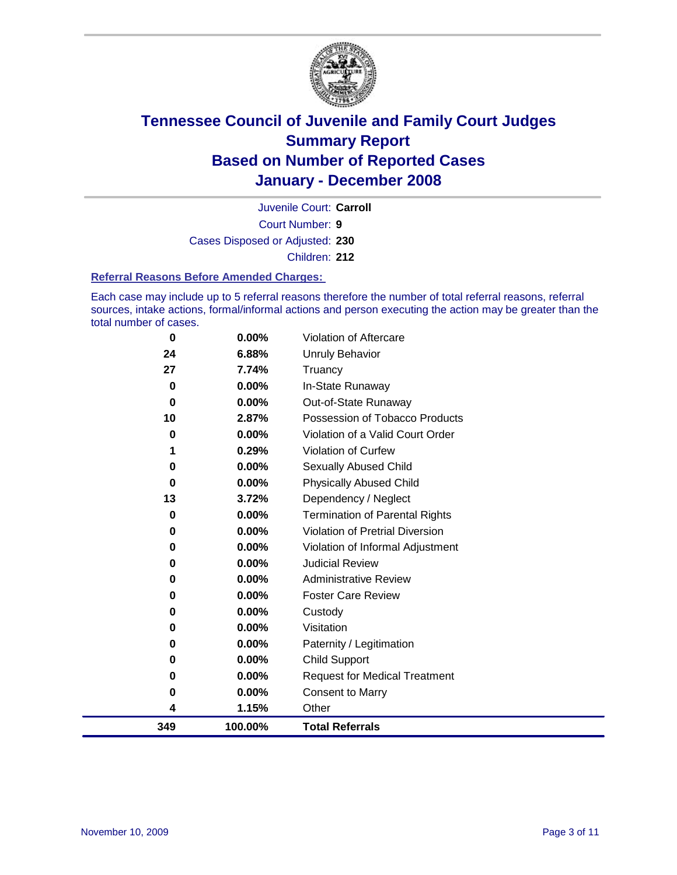

Court Number: **9** Juvenile Court: **Carroll** Cases Disposed or Adjusted: **230** Children: **212**

#### **Referral Reasons Before Amended Charges:**

Each case may include up to 5 referral reasons therefore the number of total referral reasons, referral sources, intake actions, formal/informal actions and person executing the action may be greater than the total number of cases.

| 349         | 100.00% | <b>Total Referrals</b>                |
|-------------|---------|---------------------------------------|
| 4           | 1.15%   | Other                                 |
| 0           | 0.00%   | <b>Consent to Marry</b>               |
| 0           | 0.00%   | <b>Request for Medical Treatment</b>  |
| 0           | 0.00%   | Child Support                         |
| 0           | 0.00%   | Paternity / Legitimation              |
| 0           | 0.00%   | Visitation                            |
| 0           | 0.00%   | Custody                               |
| 0           | 0.00%   | <b>Foster Care Review</b>             |
| 0           | 0.00%   | <b>Administrative Review</b>          |
| 0           | 0.00%   | <b>Judicial Review</b>                |
| 0           | 0.00%   | Violation of Informal Adjustment      |
| 0           | 0.00%   | Violation of Pretrial Diversion       |
| 0           | 0.00%   | <b>Termination of Parental Rights</b> |
| 13          | 3.72%   | Dependency / Neglect                  |
| 0           | 0.00%   | <b>Physically Abused Child</b>        |
| 0           | 0.00%   | <b>Sexually Abused Child</b>          |
|             | 0.29%   | Violation of Curfew                   |
| 0           | 0.00%   | Violation of a Valid Court Order      |
| 10          | 2.87%   | Possession of Tobacco Products        |
| $\bf{0}$    | 0.00%   | Out-of-State Runaway                  |
| $\mathbf 0$ | 0.00%   | In-State Runaway                      |
| 27          | 7.74%   | Truancy                               |
| 24          | 6.88%   | Unruly Behavior                       |
| $\bf{0}$    | 0.00%   | Violation of Aftercare                |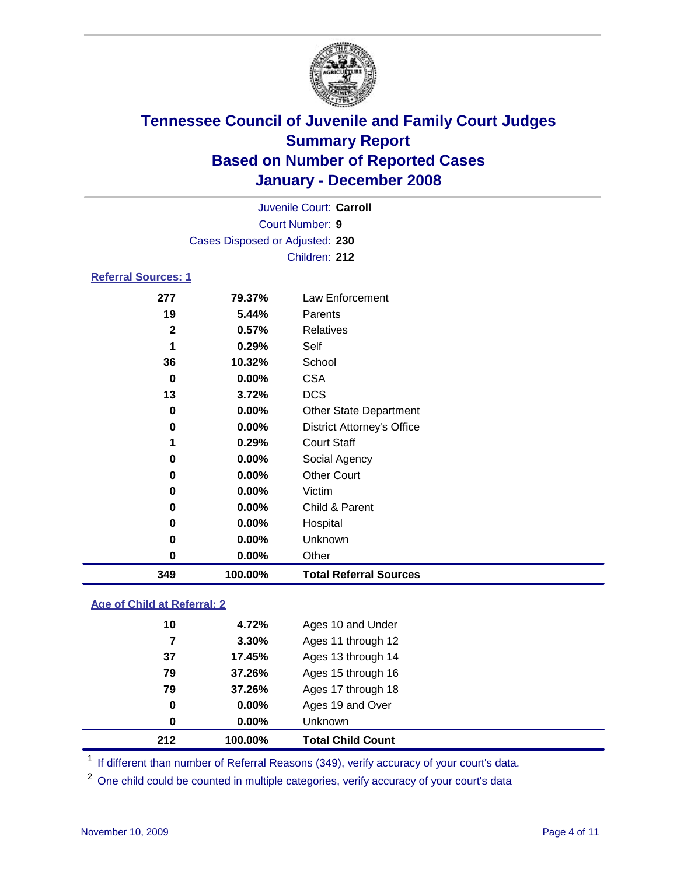

|                            |                                                  |          | Juvenile Court: Carroll |  |  |  |
|----------------------------|--------------------------------------------------|----------|-------------------------|--|--|--|
|                            | <b>Court Number: 9</b>                           |          |                         |  |  |  |
|                            | Cases Disposed or Adjusted: 230<br>Children: 212 |          |                         |  |  |  |
|                            |                                                  |          |                         |  |  |  |
| <b>Referral Sources: 1</b> |                                                  |          |                         |  |  |  |
|                            | 277                                              | 79.37%   | Law Enforcement         |  |  |  |
|                            | 19                                               | 5.44%    | Parents                 |  |  |  |
|                            | 2                                                | 0.57%    | Relatives               |  |  |  |
|                            | 1                                                | 0.29%    | Self                    |  |  |  |
|                            | 36                                               | 10.32%   | School                  |  |  |  |
|                            | 0                                                | $0.00\%$ | <b>CSA</b>              |  |  |  |
|                            | 13                                               | 3.72%    | DCS                     |  |  |  |

| 349 | 100.00%  | <b>Total Referral Sources</b>     |
|-----|----------|-----------------------------------|
| 0   | $0.00\%$ | Other                             |
| 0   | $0.00\%$ | <b>Unknown</b>                    |
| 0   | $0.00\%$ | Hospital                          |
| 0   | $0.00\%$ | Child & Parent                    |
| 0   | $0.00\%$ | Victim                            |
| 0   | $0.00\%$ | <b>Other Court</b>                |
| 0   | $0.00\%$ | Social Agency                     |
| 1   | 0.29%    | <b>Court Staff</b>                |
| 0   | $0.00\%$ | <b>District Attorney's Office</b> |
| 0   | $0.00\%$ | <b>Other State Department</b>     |
| 13  | 3.72%    | <b>DCS</b>                        |
|     |          |                                   |

### **Age of Child at Referral: 2**

| 212 | 100.00%  | <b>Total Child Count</b> |
|-----|----------|--------------------------|
| 0   | 0.00%    | <b>Unknown</b>           |
| 0   | $0.00\%$ | Ages 19 and Over         |
| 79  | 37.26%   | Ages 17 through 18       |
| 79  | 37.26%   | Ages 15 through 16       |
| 37  | 17.45%   | Ages 13 through 14       |
| 7   | 3.30%    | Ages 11 through 12       |
| 10  | 4.72%    | Ages 10 and Under        |
|     |          |                          |

<sup>1</sup> If different than number of Referral Reasons (349), verify accuracy of your court's data.

<sup>2</sup> One child could be counted in multiple categories, verify accuracy of your court's data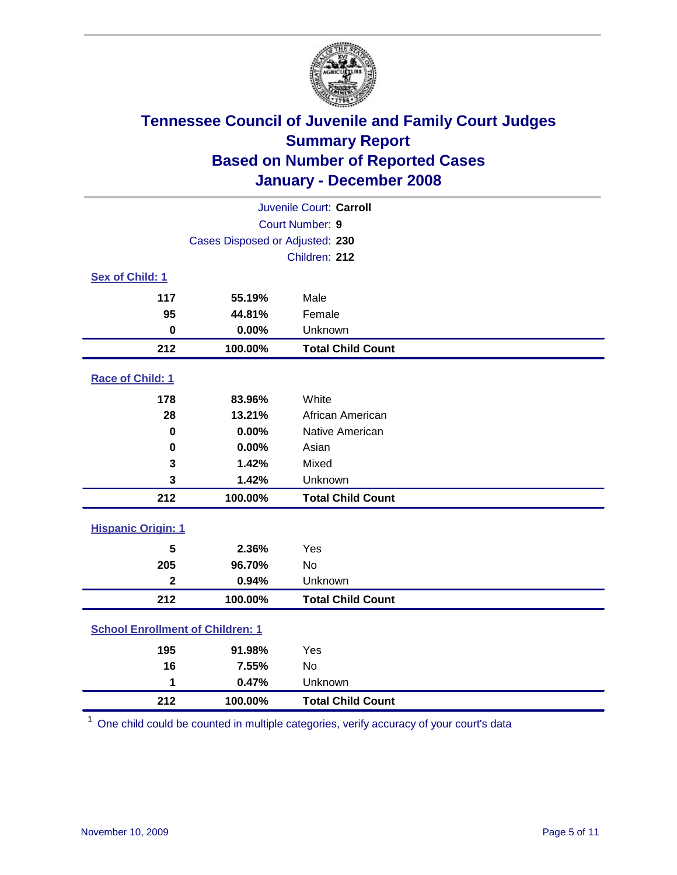

| Juvenile Court: Carroll                 |                                 |                          |  |  |  |
|-----------------------------------------|---------------------------------|--------------------------|--|--|--|
|                                         | Court Number: 9                 |                          |  |  |  |
|                                         | Cases Disposed or Adjusted: 230 |                          |  |  |  |
|                                         |                                 | Children: 212            |  |  |  |
| Sex of Child: 1                         |                                 |                          |  |  |  |
| 117                                     | 55.19%                          | Male                     |  |  |  |
| 95                                      | 44.81%                          | Female                   |  |  |  |
| $\bf{0}$                                | 0.00%                           | Unknown                  |  |  |  |
| 212                                     | 100.00%                         | <b>Total Child Count</b> |  |  |  |
| Race of Child: 1                        |                                 |                          |  |  |  |
| 178                                     | 83.96%                          | White                    |  |  |  |
| 28                                      | 13.21%                          | African American         |  |  |  |
| $\bf{0}$                                | 0.00%                           | Native American          |  |  |  |
| 0                                       | 0.00%                           | Asian                    |  |  |  |
| 3                                       | 1.42%                           | Mixed                    |  |  |  |
| 3                                       | 1.42%                           | Unknown                  |  |  |  |
| 212                                     | 100.00%                         | <b>Total Child Count</b> |  |  |  |
| <b>Hispanic Origin: 1</b>               |                                 |                          |  |  |  |
| 5                                       | 2.36%                           | Yes                      |  |  |  |
| 205                                     | 96.70%                          | No                       |  |  |  |
| $\overline{\mathbf{2}}$                 | 0.94%                           | Unknown                  |  |  |  |
| 212                                     | 100.00%                         | <b>Total Child Count</b> |  |  |  |
| <b>School Enrollment of Children: 1</b> |                                 |                          |  |  |  |
| 195                                     | 91.98%                          | Yes                      |  |  |  |
| 16                                      | 7.55%                           | No                       |  |  |  |
| 1                                       | 0.47%                           | Unknown                  |  |  |  |
| 212                                     | 100.00%                         | <b>Total Child Count</b> |  |  |  |

One child could be counted in multiple categories, verify accuracy of your court's data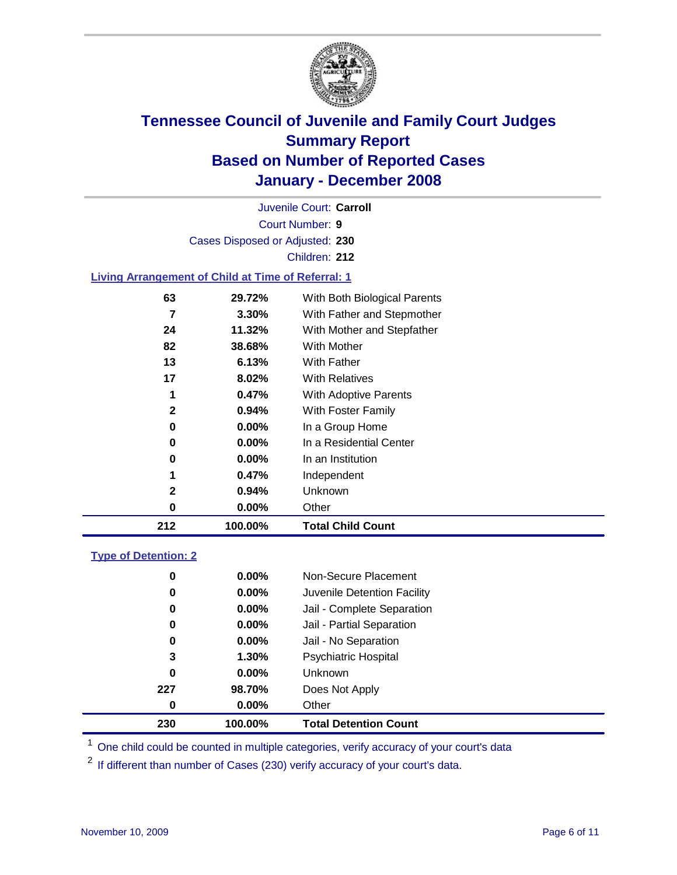

Court Number: **9** Juvenile Court: **Carroll** Cases Disposed or Adjusted: **230** Children: **212**

#### **Living Arrangement of Child at Time of Referral: 1**

| 212 | 100.00%  | <b>Total Child Count</b>     |
|-----|----------|------------------------------|
| 0   | $0.00\%$ | Other                        |
| 2   | 0.94%    | Unknown                      |
|     | 0.47%    | Independent                  |
| 0   | $0.00\%$ | In an Institution            |
| 0   | $0.00\%$ | In a Residential Center      |
| 0   | $0.00\%$ | In a Group Home              |
| 2   | $0.94\%$ | With Foster Family           |
| 1   | 0.47%    | With Adoptive Parents        |
| 17  | 8.02%    | <b>With Relatives</b>        |
| 13  | 6.13%    | <b>With Father</b>           |
| 82  | 38.68%   | With Mother                  |
| 24  | 11.32%   | With Mother and Stepfather   |
| 7   | $3.30\%$ | With Father and Stepmother   |
| 63  | 29.72%   | With Both Biological Parents |
|     |          |                              |

#### **Type of Detention: 2**

| 230 | 100.00%  | <b>Total Detention Count</b> |  |
|-----|----------|------------------------------|--|
| 0   | $0.00\%$ | Other                        |  |
| 227 | 98.70%   | Does Not Apply               |  |
| 0   | $0.00\%$ | <b>Unknown</b>               |  |
| 3   | 1.30%    | <b>Psychiatric Hospital</b>  |  |
| 0   | 0.00%    | Jail - No Separation         |  |
| 0   | $0.00\%$ | Jail - Partial Separation    |  |
| 0   | $0.00\%$ | Jail - Complete Separation   |  |
| 0   | 0.00%    | Juvenile Detention Facility  |  |
| 0   | $0.00\%$ | Non-Secure Placement         |  |
|     |          |                              |  |

<sup>1</sup> One child could be counted in multiple categories, verify accuracy of your court's data

<sup>2</sup> If different than number of Cases (230) verify accuracy of your court's data.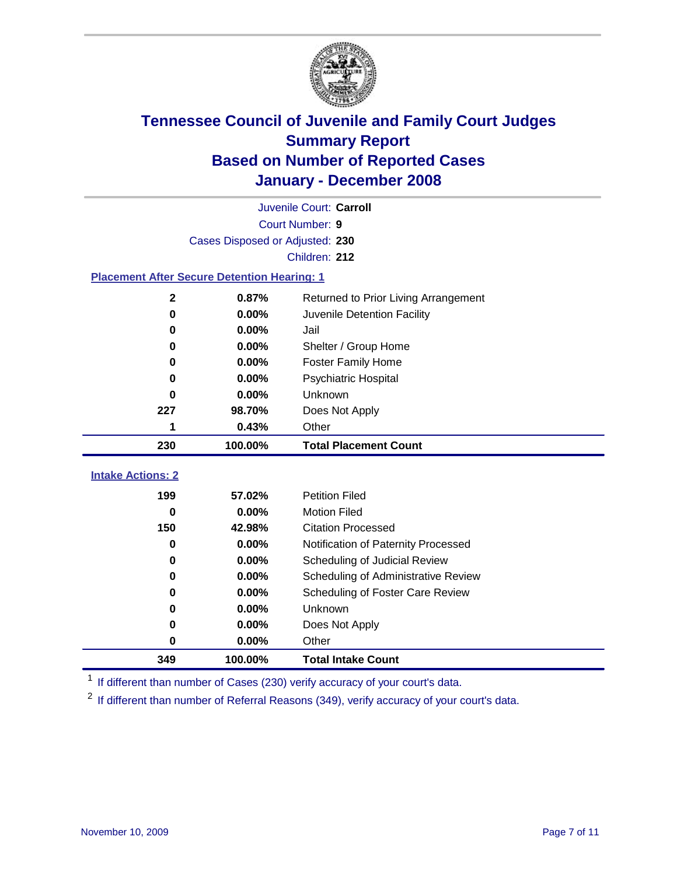

|                                                    | Juvenile Court: Carroll |                                      |  |  |  |
|----------------------------------------------------|-------------------------|--------------------------------------|--|--|--|
|                                                    | Court Number: 9         |                                      |  |  |  |
| Cases Disposed or Adjusted: 230                    |                         |                                      |  |  |  |
|                                                    |                         | Children: 212                        |  |  |  |
| <b>Placement After Secure Detention Hearing: 1</b> |                         |                                      |  |  |  |
| 2                                                  | 0.87%                   | Returned to Prior Living Arrangement |  |  |  |
| $\bf{0}$                                           | 0.00%                   | Juvenile Detention Facility          |  |  |  |
| $\bf{0}$                                           | 0.00%                   | Jail                                 |  |  |  |
| 0                                                  | 0.00%                   | Shelter / Group Home                 |  |  |  |
| 0                                                  | 0.00%                   | <b>Foster Family Home</b>            |  |  |  |
| 0                                                  | 0.00%                   | Psychiatric Hospital                 |  |  |  |
| 0                                                  | 0.00%                   | Unknown                              |  |  |  |
| 227                                                | 98.70%                  | Does Not Apply                       |  |  |  |
| 1                                                  | 0.43%                   | Other                                |  |  |  |
| 230                                                | 100.00%                 | <b>Total Placement Count</b>         |  |  |  |
| <b>Intake Actions: 2</b>                           |                         |                                      |  |  |  |
|                                                    |                         |                                      |  |  |  |
| 199                                                | 57.02%                  | <b>Petition Filed</b>                |  |  |  |
| 0                                                  | 0.00%                   | <b>Motion Filed</b>                  |  |  |  |
| 150                                                | 42.98%                  | <b>Citation Processed</b>            |  |  |  |
| 0                                                  | 0.00%                   | Notification of Paternity Processed  |  |  |  |
| 0                                                  | 0.00%                   | Scheduling of Judicial Review        |  |  |  |
| 0                                                  | 0.00%                   | Scheduling of Administrative Review  |  |  |  |
| 0                                                  | $0.00\%$                | Scheduling of Foster Care Review     |  |  |  |
| $\bf{0}$                                           | 0.00%                   | Unknown                              |  |  |  |
| 0                                                  | 0.00%                   | Does Not Apply                       |  |  |  |
| 0                                                  | 0.00%                   | Other                                |  |  |  |

<sup>1</sup> If different than number of Cases (230) verify accuracy of your court's data.

<sup>2</sup> If different than number of Referral Reasons (349), verify accuracy of your court's data.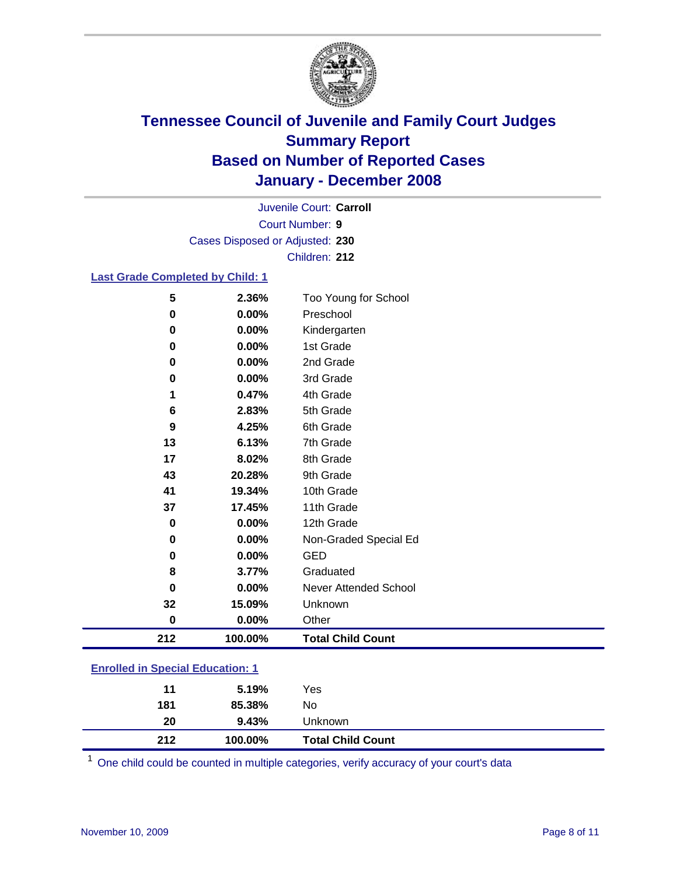

Court Number: **9** Juvenile Court: **Carroll** Cases Disposed or Adjusted: **230** Children: **212**

#### **Last Grade Completed by Child: 1**

| 212      | 100.00% | <b>Total Child Count</b> |
|----------|---------|--------------------------|
| $\bf{0}$ | 0.00%   | Other                    |
| 32       | 15.09%  | Unknown                  |
| $\bf{0}$ | 0.00%   | Never Attended School    |
| 8        | 3.77%   | Graduated                |
| 0        | 0.00%   | <b>GED</b>               |
| $\bf{0}$ | 0.00%   | Non-Graded Special Ed    |
| 0        | 0.00%   | 12th Grade               |
| 37       | 17.45%  | 11th Grade               |
| 41       | 19.34%  | 10th Grade               |
| 43       | 20.28%  | 9th Grade                |
| 17       | 8.02%   | 8th Grade                |
| 13       | 6.13%   | 7th Grade                |
| 9        | 4.25%   | 6th Grade                |
| 6        | 2.83%   | 5th Grade                |
| 1        | 0.47%   | 4th Grade                |
| 0        | 0.00%   | 3rd Grade                |
| 0        | 0.00%   | 2nd Grade                |
| 0        | 0.00%   | 1st Grade                |
| 0        | 0.00%   | Kindergarten             |
| 0        | 0.00%   | Preschool                |
| 5        | 2.36%   | Too Young for School     |

### **Enrolled in Special Education: 1**

| 212 | 100.00% | <b>Total Child Count</b> |
|-----|---------|--------------------------|
| 20  | 9.43%   | Unknown                  |
| 181 | 85.38%  | No                       |
| 11  | 5.19%   | Yes                      |
|     |         |                          |

One child could be counted in multiple categories, verify accuracy of your court's data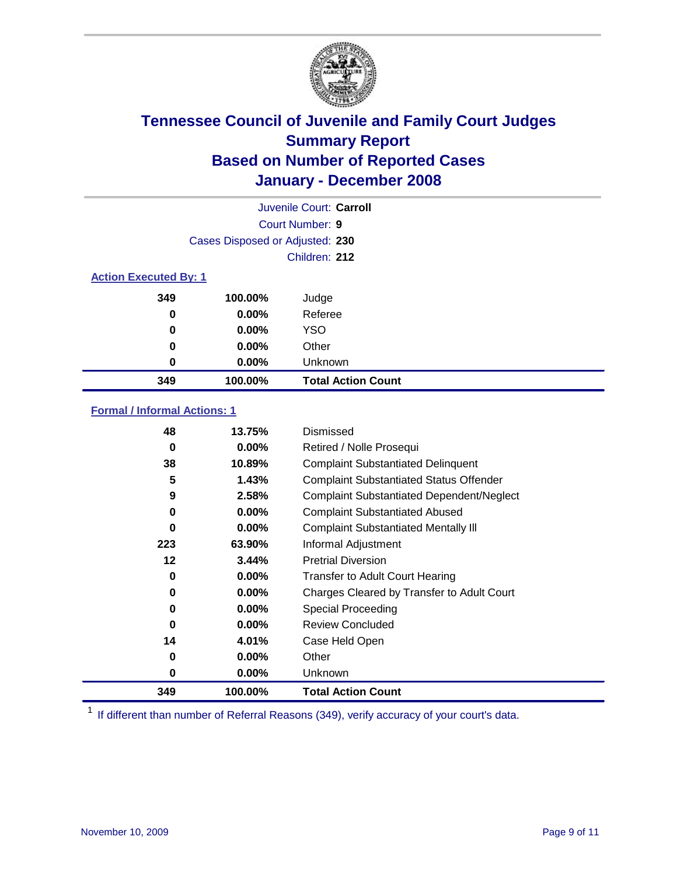

|                              |                                 | Juvenile Court: Carroll   |
|------------------------------|---------------------------------|---------------------------|
|                              |                                 | Court Number: 9           |
|                              | Cases Disposed or Adjusted: 230 |                           |
|                              |                                 | Children: 212             |
| <b>Action Executed By: 1</b> |                                 |                           |
| 349                          | 100.00%                         | Judge                     |
| 0                            | $0.00\%$                        | Referee                   |
| 0                            | $0.00\%$                        | <b>YSO</b>                |
| 0                            | $0.00\%$                        | Other                     |
| 0                            | $0.00\%$                        | Unknown                   |
| 349                          | 100.00%                         | <b>Total Action Count</b> |

### **Formal / Informal Actions: 1**

| 48  | 13.75%   | Dismissed                                        |
|-----|----------|--------------------------------------------------|
| 0   | $0.00\%$ | Retired / Nolle Prosequi                         |
| 38  | 10.89%   | <b>Complaint Substantiated Delinquent</b>        |
| 5   | 1.43%    | <b>Complaint Substantiated Status Offender</b>   |
| 9   | 2.58%    | <b>Complaint Substantiated Dependent/Neglect</b> |
| 0   | $0.00\%$ | <b>Complaint Substantiated Abused</b>            |
| 0   | $0.00\%$ | <b>Complaint Substantiated Mentally III</b>      |
| 223 | 63.90%   | Informal Adjustment                              |
| 12  | 3.44%    | <b>Pretrial Diversion</b>                        |
| 0   | $0.00\%$ | <b>Transfer to Adult Court Hearing</b>           |
| 0   | $0.00\%$ | Charges Cleared by Transfer to Adult Court       |
| 0   | $0.00\%$ | Special Proceeding                               |
| 0   | $0.00\%$ | <b>Review Concluded</b>                          |
| 14  | 4.01%    | Case Held Open                                   |
| 0   | $0.00\%$ | Other                                            |
| 0   | $0.00\%$ | <b>Unknown</b>                                   |
| 349 | 100.00%  | <b>Total Action Count</b>                        |

<sup>1</sup> If different than number of Referral Reasons (349), verify accuracy of your court's data.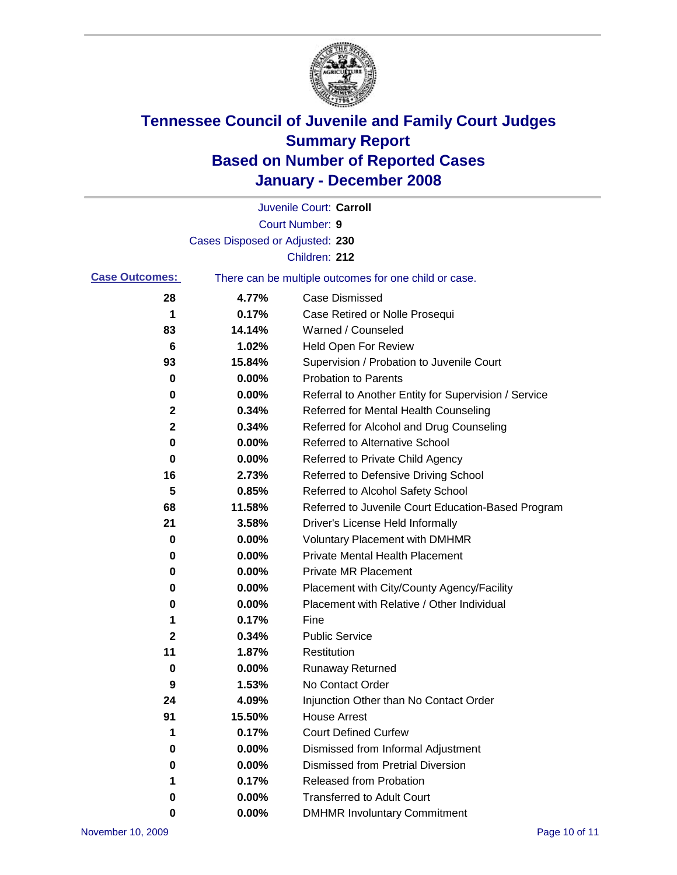

|                       |                                 | Juvenile Court: Carroll                               |
|-----------------------|---------------------------------|-------------------------------------------------------|
|                       |                                 | Court Number: 9                                       |
|                       | Cases Disposed or Adjusted: 230 |                                                       |
|                       |                                 | Children: 212                                         |
| <b>Case Outcomes:</b> |                                 | There can be multiple outcomes for one child or case. |
| 28                    | 4.77%                           | <b>Case Dismissed</b>                                 |
| 1                     | 0.17%                           | Case Retired or Nolle Prosequi                        |
| 83                    | 14.14%                          | Warned / Counseled                                    |
| 6                     | 1.02%                           | Held Open For Review                                  |
| 93                    | 15.84%                          | Supervision / Probation to Juvenile Court             |
| 0                     | 0.00%                           | <b>Probation to Parents</b>                           |
| 0                     | 0.00%                           | Referral to Another Entity for Supervision / Service  |
| 2                     | 0.34%                           | Referred for Mental Health Counseling                 |
| $\mathbf 2$           | 0.34%                           | Referred for Alcohol and Drug Counseling              |
| 0                     | 0.00%                           | <b>Referred to Alternative School</b>                 |
| 0                     | 0.00%                           | Referred to Private Child Agency                      |
| 16                    | 2.73%                           | Referred to Defensive Driving School                  |
| 5                     | 0.85%                           | Referred to Alcohol Safety School                     |
| 68                    | 11.58%                          | Referred to Juvenile Court Education-Based Program    |
| 21                    | 3.58%                           | Driver's License Held Informally                      |
| 0                     | 0.00%                           | <b>Voluntary Placement with DMHMR</b>                 |
| 0                     | 0.00%                           | <b>Private Mental Health Placement</b>                |
| 0                     | 0.00%                           | <b>Private MR Placement</b>                           |
| 0                     | 0.00%                           | Placement with City/County Agency/Facility            |
| 0                     | 0.00%                           | Placement with Relative / Other Individual            |
| 1                     | 0.17%                           | Fine                                                  |
| 2                     | 0.34%                           | <b>Public Service</b>                                 |
| 11                    | 1.87%                           | Restitution                                           |
| 0                     | 0.00%                           | <b>Runaway Returned</b>                               |
| 9                     | 1.53%                           | No Contact Order                                      |
| 24                    | 4.09%                           | Injunction Other than No Contact Order                |
| 91                    | 15.50%                          | <b>House Arrest</b>                                   |
| 1                     | 0.17%                           | <b>Court Defined Curfew</b>                           |
| 0                     | 0.00%                           | Dismissed from Informal Adjustment                    |
| 0                     | 0.00%                           | <b>Dismissed from Pretrial Diversion</b>              |
| 1                     | 0.17%                           | Released from Probation                               |
| 0                     | 0.00%                           | <b>Transferred to Adult Court</b>                     |
| 0                     | 0.00%                           | <b>DMHMR Involuntary Commitment</b>                   |